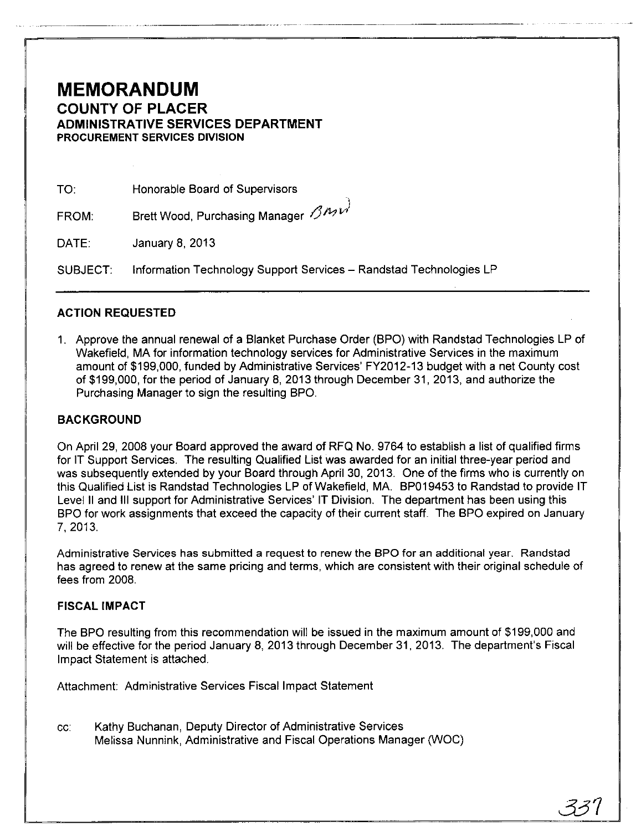## **MEMORANDUM COUNTY OF PLACER ADMINISTRATIVE SERVICES DEPARTMENT PROCUREMENT SERVICES DIVISION**

----\_ ..•. \_-\_ ... ---

TO: Honorable Board of Supervisors

-\ FROM: Brett Wood, Purchasing Manager () *M vi* 

DATE: January 8, 2013

SUBJECT: Information Technology Support Services - Randstad Technologies LP

### **ACTION REQUESTED**

1. Approve the annual renewal of a Blanket Purchase Order (BPO) with Randstad Technologies LP of Wakefield, **MA** for information technology services for Administrative Services in the maximum amount of \$199,000, funded by Administrative Services' FY2012-13 budget with a net County cost of \$199,000, for the period of January 8, 2013 through December 31, 2013, and authorize the Purchasing Manager to sign the resulting BPO.

#### **BACKGROUND**

On April 29, 2008 your Board approved the award of RFQ No. 9764 to establish a list of qualified firms for **IT** Support Services. The resulting Qualified List was awarded for an initial three-year period and was subsequently extended by your Board through April 30, 2013. One of the firms who is currently on this Qualified List is Randstad Technologies LP of Wakefield, MA. BP019453 to Randstad to provide **IT**  Level II and **III** support for Administrative Services' **IT** Division. The department has been using this BPO for work assignments that exceed the capacity of their current staff. The BPO expired on January 7,2013.

Administrative Services has submitted a request to renew the BPO for an additional year. Randstad has agreed to renew at the same pricing and terms, which are consistent with their original schedule of fees from 2008.

#### **FISCAL IMPACT**

The BPO resulting from this recommendation will be issued in the maximum amount of \$199,000 and **will** be effective for the period January 8, 2013 through December 31, 2013. The department's Fiscal Impact Statement is attached.

Attachment: Administrative Services Fiscal Impact Statement

cc: Kathy Buchanan, Deputy Director of Administrative Services Melissa Nunnink, Administrative and Fiscal Operations Manager (WOC)